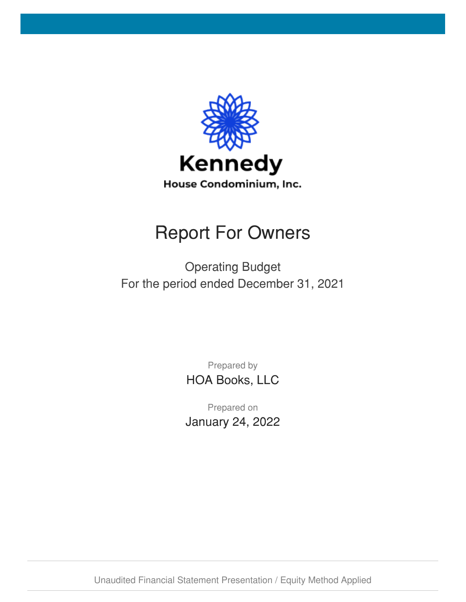

# Report For Owners

Operating Budget For the period ended December 31, 2021

> Prepared by HOA Books, LLC

Prepared on January 24, 2022

Unaudited Financial Statement Presentation / Equity Method Applied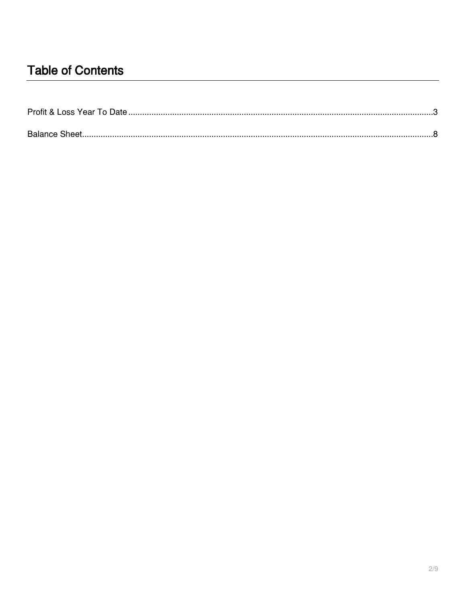## **Table of Contents**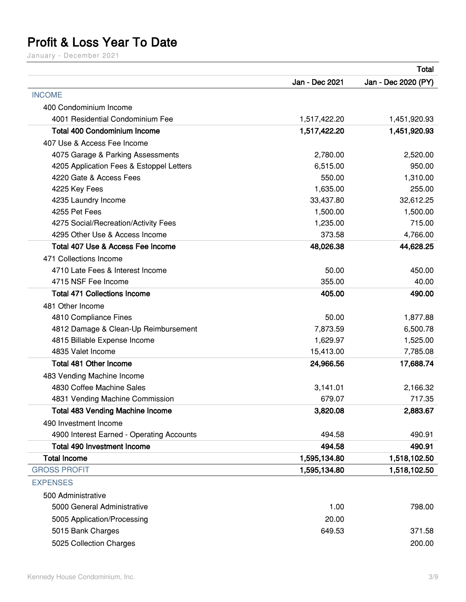# <span id="page-2-0"></span>**Profit & Loss Year To Date**

January - December 2021

|                                           |                | <b>Total</b>        |
|-------------------------------------------|----------------|---------------------|
|                                           | Jan - Dec 2021 | Jan - Dec 2020 (PY) |
| <b>INCOME</b>                             |                |                     |
| 400 Condominium Income                    |                |                     |
| 4001 Residential Condominium Fee          | 1,517,422.20   | 1,451,920.93        |
| <b>Total 400 Condominium Income</b>       | 1,517,422.20   | 1,451,920.93        |
| 407 Use & Access Fee Income               |                |                     |
| 4075 Garage & Parking Assessments         | 2,780.00       | 2,520.00            |
| 4205 Application Fees & Estoppel Letters  | 6,515.00       | 950.00              |
| 4220 Gate & Access Fees                   | 550.00         | 1,310.00            |
| 4225 Key Fees                             | 1,635.00       | 255.00              |
| 4235 Laundry Income                       | 33,437.80      | 32,612.25           |
| 4255 Pet Fees                             | 1,500.00       | 1,500.00            |
| 4275 Social/Recreation/Activity Fees      | 1,235.00       | 715.00              |
| 4295 Other Use & Access Income            | 373.58         | 4,766.00            |
| Total 407 Use & Access Fee Income         | 48,026.38      | 44,628.25           |
| 471 Collections Income                    |                |                     |
| 4710 Late Fees & Interest Income          | 50.00          | 450.00              |
| 4715 NSF Fee Income                       | 355.00         | 40.00               |
| <b>Total 471 Collections Income</b>       | 405.00         | 490.00              |
| 481 Other Income                          |                |                     |
| 4810 Compliance Fines                     | 50.00          | 1,877.88            |
| 4812 Damage & Clean-Up Reimbursement      | 7,873.59       | 6,500.78            |
| 4815 Billable Expense Income              | 1,629.97       | 1,525.00            |
| 4835 Valet Income                         | 15,413.00      | 7,785.08            |
| Total 481 Other Income                    | 24,966.56      | 17,688.74           |
| 483 Vending Machine Income                |                |                     |
| 4830 Coffee Machine Sales                 | 3,141.01       | 2,166.32            |
| 4831 Vending Machine Commission           | 679.07         | 717.35              |
| <b>Total 483 Vending Machine Income</b>   | 3,820.08       | 2,883.67            |
| 490 Investment Income                     |                |                     |
| 4900 Interest Earned - Operating Accounts | 494.58         | 490.91              |
| <b>Total 490 Investment Income</b>        | 494.58         | 490.91              |
| <b>Total Income</b>                       | 1,595,134.80   | 1,518,102.50        |
| <b>GROSS PROFIT</b>                       | 1,595,134.80   | 1,518,102.50        |
| <b>EXPENSES</b>                           |                |                     |
| 500 Administrative                        |                |                     |
| 5000 General Administrative               | 1.00           | 798.00              |
| 5005 Application/Processing               | 20.00          |                     |
| 5015 Bank Charges                         | 649.53         | 371.58              |
| 5025 Collection Charges                   |                | 200.00              |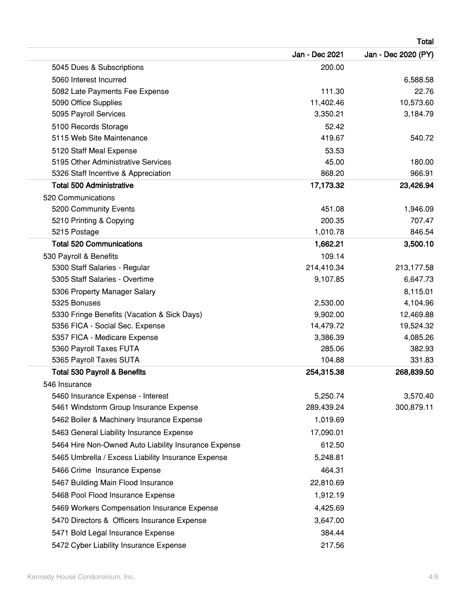|                                                      |                | <b>Total</b>        |
|------------------------------------------------------|----------------|---------------------|
|                                                      | Jan - Dec 2021 | Jan - Dec 2020 (PY) |
| 5045 Dues & Subscriptions                            | 200.00         |                     |
| 5060 Interest Incurred                               |                | 6,588.58            |
| 5082 Late Payments Fee Expense                       | 111.30         | 22.76               |
| 5090 Office Supplies                                 | 11,402.46      | 10,573.60           |
| 5095 Payroll Services                                | 3,350.21       | 3,184.79            |
| 5100 Records Storage                                 | 52.42          |                     |
| 5115 Web Site Maintenance                            | 419.67         | 540.72              |
| 5120 Staff Meal Expense                              | 53.53          |                     |
| 5195 Other Administrative Services                   | 45.00          | 180.00              |
| 5326 Staff Incentive & Appreciation                  | 868.20         | 966.91              |
| <b>Total 500 Administrative</b>                      | 17,173.32      | 23,426.94           |
| 520 Communications                                   |                |                     |
| 5200 Community Events                                | 451.08         | 1,946.09            |
| 5210 Printing & Copying                              | 200.35         | 707.47              |
| 5215 Postage                                         | 1,010.78       | 846.54              |
| <b>Total 520 Communications</b>                      | 1,662.21       | 3,500.10            |
| 530 Payroll & Benefits                               | 109.14         |                     |
| 5300 Staff Salaries - Regular                        | 214,410.34     | 213,177.58          |
| 5305 Staff Salaries - Overtime                       | 9,107.85       | 6,647.73            |
| 5306 Property Manager Salary                         |                | 8,115.01            |
| 5325 Bonuses                                         | 2,530.00       | 4,104.96            |
| 5330 Fringe Benefits (Vacation & Sick Days)          | 9,902.00       | 12,469.88           |
| 5356 FICA - Social Sec. Expense                      | 14,479.72      | 19,524.32           |
| 5357 FICA - Medicare Expense                         | 3,386.39       | 4,085.26            |
| 5360 Payroll Taxes FUTA                              | 285.06         | 382.93              |
| 5365 Payroll Taxes SUTA                              | 104.88         | 331.83              |
| <b>Total 530 Payroll &amp; Benefits</b>              | 254,315.38     | 268,839.50          |
| 546 Insurance                                        |                |                     |
| 5460 Insurance Expense - Interest                    | 5,250.74       | 3,570.40            |
| 5461 Windstorm Group Insurance Expense               | 289,439.24     | 300,879.11          |
| 5462 Boiler & Machinery Insurance Expense            | 1,019.69       |                     |
| 5463 General Liability Insurance Expense             | 17,090.01      |                     |
| 5464 Hire Non-Owned Auto Liability Insurance Expense | 612.50         |                     |
| 5465 Umbrella / Excess Liability Insurance Expense   | 5,248.81       |                     |
| 5466 Crime Insurance Expense                         | 464.31         |                     |
| 5467 Building Main Flood Insurance                   | 22,810.69      |                     |
| 5468 Pool Flood Insurance Expense                    | 1,912.19       |                     |
| 5469 Workers Compensation Insurance Expense          | 4,425.69       |                     |
| 5470 Directors & Officers Insurance Expense          | 3,647.00       |                     |
| 5471 Bold Legal Insurance Expense                    | 384.44         |                     |
| 5472 Cyber Liability Insurance Expense               | 217.56         |                     |
|                                                      |                |                     |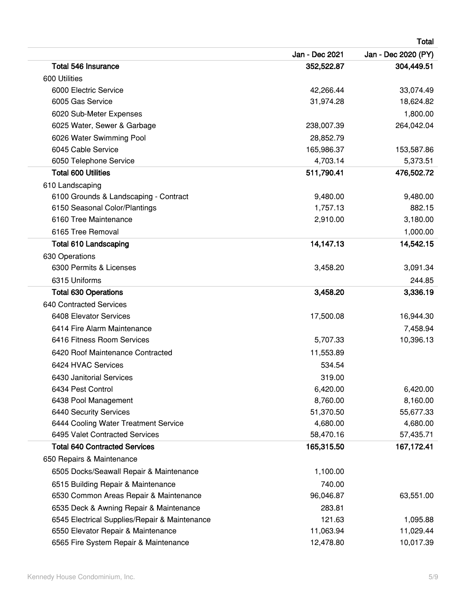| <b>Total</b>                                  |                |                     |
|-----------------------------------------------|----------------|---------------------|
|                                               | Jan - Dec 2021 | Jan - Dec 2020 (PY) |
| Total 546 Insurance                           | 352,522.87     | 304,449.51          |
| 600 Utilities                                 |                |                     |
| 6000 Electric Service                         | 42,266.44      | 33,074.49           |
| 6005 Gas Service                              | 31,974.28      | 18,624.82           |
| 6020 Sub-Meter Expenses                       |                | 1,800.00            |
| 6025 Water, Sewer & Garbage                   | 238,007.39     | 264,042.04          |
| 6026 Water Swimming Pool                      | 28,852.79      |                     |
| 6045 Cable Service                            | 165,986.37     | 153,587.86          |
| 6050 Telephone Service                        | 4,703.14       | 5,373.51            |
| <b>Total 600 Utilities</b>                    | 511,790.41     | 476,502.72          |
| 610 Landscaping                               |                |                     |
| 6100 Grounds & Landscaping - Contract         | 9,480.00       | 9,480.00            |
| 6150 Seasonal Color/Plantings                 | 1,757.13       | 882.15              |
| 6160 Tree Maintenance                         | 2,910.00       | 3,180.00            |
| 6165 Tree Removal                             |                | 1,000.00            |
| <b>Total 610 Landscaping</b>                  | 14,147.13      | 14,542.15           |
| 630 Operations                                |                |                     |
| 6300 Permits & Licenses                       | 3,458.20       | 3,091.34            |
| 6315 Uniforms                                 |                | 244.85              |
| <b>Total 630 Operations</b>                   | 3,458.20       | 3,336.19            |
| <b>640 Contracted Services</b>                |                |                     |
| 6408 Elevator Services                        | 17,500.08      | 16,944.30           |
| 6414 Fire Alarm Maintenance                   |                | 7,458.94            |
| 6416 Fitness Room Services                    | 5,707.33       | 10,396.13           |
| 6420 Roof Maintenance Contracted              | 11,553.89      |                     |
| 6424 HVAC Services                            | 534.54         |                     |
| 6430 Janitorial Services                      | 319.00         |                     |
| 6434 Pest Control                             | 6,420.00       | 6,420.00            |
| 6438 Pool Management                          | 8,760.00       | 8,160.00            |
| 6440 Security Services                        | 51,370.50      | 55,677.33           |
| 6444 Cooling Water Treatment Service          | 4,680.00       | 4,680.00            |
| 6495 Valet Contracted Services                | 58,470.16      | 57,435.71           |
| <b>Total 640 Contracted Services</b>          | 165,315.50     | 167,172.41          |
| 650 Repairs & Maintenance                     |                |                     |
| 6505 Docks/Seawall Repair & Maintenance       | 1,100.00       |                     |
| 6515 Building Repair & Maintenance            | 740.00         |                     |
| 6530 Common Areas Repair & Maintenance        | 96,046.87      | 63,551.00           |
| 6535 Deck & Awning Repair & Maintenance       | 283.81         |                     |
| 6545 Electrical Supplies/Repair & Maintenance | 121.63         | 1,095.88            |
| 6550 Elevator Repair & Maintenance            | 11,063.94      | 11,029.44           |
| 6565 Fire System Repair & Maintenance         | 12,478.80      | 10,017.39           |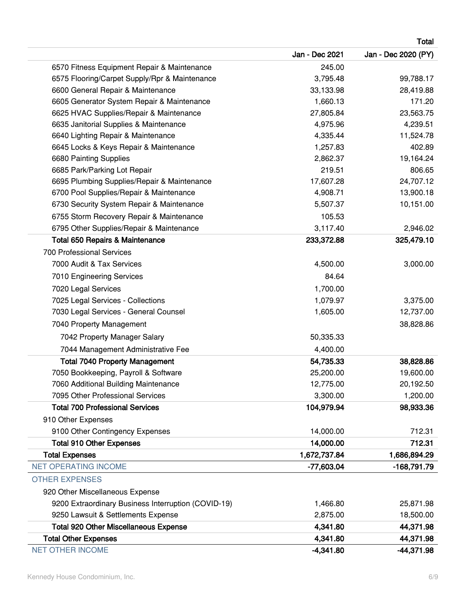|                                                     |                | Total               |
|-----------------------------------------------------|----------------|---------------------|
|                                                     | Jan - Dec 2021 | Jan - Dec 2020 (PY) |
| 6570 Fitness Equipment Repair & Maintenance         | 245.00         |                     |
| 6575 Flooring/Carpet Supply/Rpr & Maintenance       | 3,795.48       | 99,788.17           |
| 6600 General Repair & Maintenance                   | 33,133.98      | 28,419.88           |
| 6605 Generator System Repair & Maintenance          | 1,660.13       | 171.20              |
| 6625 HVAC Supplies/Repair & Maintenance             | 27,805.84      | 23,563.75           |
| 6635 Janitorial Supplies & Maintenance              | 4,975.96       | 4,239.51            |
| 6640 Lighting Repair & Maintenance                  | 4,335.44       | 11,524.78           |
| 6645 Locks & Keys Repair & Maintenance              | 1,257.83       | 402.89              |
| 6680 Painting Supplies                              | 2,862.37       | 19,164.24           |
| 6685 Park/Parking Lot Repair                        | 219.51         | 806.65              |
| 6695 Plumbing Supplies/Repair & Maintenance         | 17,607.28      | 24,707.12           |
| 6700 Pool Supplies/Repair & Maintenance             | 4,908.71       | 13,900.18           |
| 6730 Security System Repair & Maintenance           | 5,507.37       | 10,151.00           |
| 6755 Storm Recovery Repair & Maintenance            | 105.53         |                     |
| 6795 Other Supplies/Repair & Maintenance            | 3,117.40       | 2,946.02            |
| <b>Total 650 Repairs &amp; Maintenance</b>          | 233,372.88     | 325,479.10          |
| <b>700 Professional Services</b>                    |                |                     |
| 7000 Audit & Tax Services                           | 4,500.00       | 3,000.00            |
| 7010 Engineering Services                           | 84.64          |                     |
| 7020 Legal Services                                 | 1,700.00       |                     |
| 7025 Legal Services - Collections                   | 1,079.97       | 3,375.00            |
| 7030 Legal Services - General Counsel               | 1,605.00       | 12,737.00           |
| 7040 Property Management                            |                | 38,828.86           |
| 7042 Property Manager Salary                        | 50,335.33      |                     |
| 7044 Management Administrative Fee                  | 4,400.00       |                     |
| <b>Total 7040 Property Management</b>               | 54,735.33      | 38,828.86           |
| 7050 Bookkeeping, Payroll & Software                | 25,200.00      | 19,600.00           |
| 7060 Additional Building Maintenance                | 12,775.00      | 20,192.50           |
| 7095 Other Professional Services                    | 3,300.00       | 1,200.00            |
| <b>Total 700 Professional Services</b>              | 104,979.94     | 98,933.36           |
| 910 Other Expenses                                  |                |                     |
| 9100 Other Contingency Expenses                     | 14,000.00      | 712.31              |
| <b>Total 910 Other Expenses</b>                     | 14,000.00      | 712.31              |
| <b>Total Expenses</b>                               | 1,672,737.84   | 1,686,894.29        |
| <b>NET OPERATING INCOME</b>                         | -77,603.04     | -168,791.79         |
| <b>OTHER EXPENSES</b>                               |                |                     |
| 920 Other Miscellaneous Expense                     |                |                     |
| 9200 Extraordinary Business Interruption (COVID-19) | 1,466.80       | 25,871.98           |
| 9250 Lawsuit & Settlements Expense                  | 2,875.00       | 18,500.00           |
| <b>Total 920 Other Miscellaneous Expense</b>        | 4,341.80       | 44,371.98           |
| <b>Total Other Expenses</b>                         | 4,341.80       | 44,371.98           |
| <b>NET OTHER INCOME</b>                             | $-4,341.80$    | $-44,371.98$        |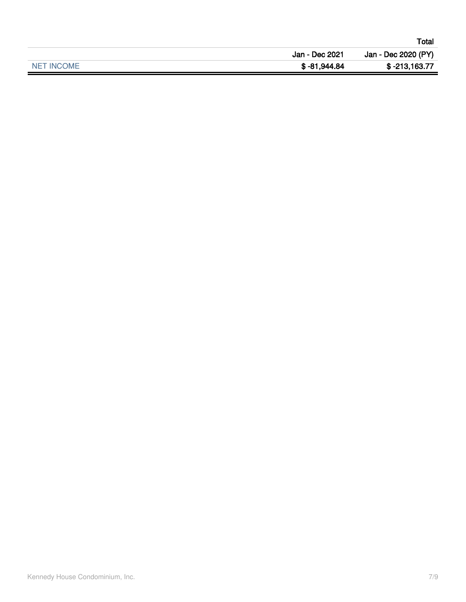|            |                | Total               |
|------------|----------------|---------------------|
|            | Jan - Dec 2021 | Jan - Dec 2020 (PY) |
| NET INCOME | \$-81,944.84   | \$-213,163.77       |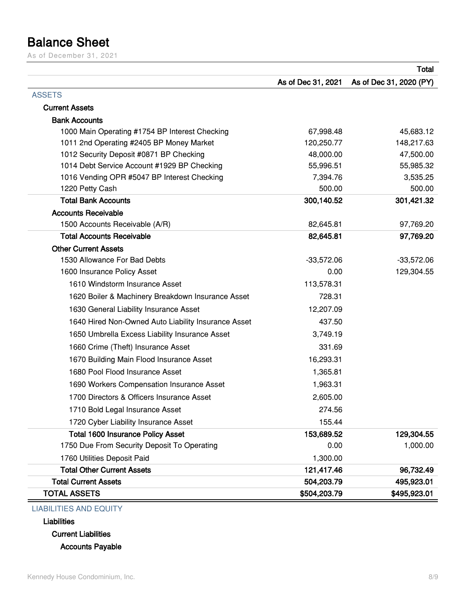## <span id="page-7-0"></span>**Balance Sheet**

As of December 31, 2021

|                                                     |                    | Total                   |
|-----------------------------------------------------|--------------------|-------------------------|
|                                                     | As of Dec 31, 2021 | As of Dec 31, 2020 (PY) |
| <b>ASSETS</b>                                       |                    |                         |
| <b>Current Assets</b>                               |                    |                         |
| <b>Bank Accounts</b>                                |                    |                         |
| 1000 Main Operating #1754 BP Interest Checking      | 67,998.48          | 45,683.12               |
| 1011 2nd Operating #2405 BP Money Market            | 120,250.77         | 148,217.63              |
| 1012 Security Deposit #0871 BP Checking             | 48,000.00          | 47,500.00               |
| 1014 Debt Service Account #1929 BP Checking         | 55,996.51          | 55,985.32               |
| 1016 Vending OPR #5047 BP Interest Checking         | 7,394.76           | 3,535.25                |
| 1220 Petty Cash                                     | 500.00             | 500.00                  |
| <b>Total Bank Accounts</b>                          | 300,140.52         | 301,421.32              |
| <b>Accounts Receivable</b>                          |                    |                         |
| 1500 Accounts Receivable (A/R)                      | 82,645.81          | 97,769.20               |
| <b>Total Accounts Receivable</b>                    | 82,645.81          | 97,769.20               |
| <b>Other Current Assets</b>                         |                    |                         |
| 1530 Allowance For Bad Debts                        | $-33,572.06$       | $-33,572.06$            |
| 1600 Insurance Policy Asset                         | 0.00               | 129,304.55              |
| 1610 Windstorm Insurance Asset                      | 113,578.31         |                         |
| 1620 Boiler & Machinery Breakdown Insurance Asset   | 728.31             |                         |
| 1630 General Liability Insurance Asset              | 12,207.09          |                         |
| 1640 Hired Non-Owned Auto Liability Insurance Asset | 437.50             |                         |
| 1650 Umbrella Excess Liability Insurance Asset      | 3,749.19           |                         |
| 1660 Crime (Theft) Insurance Asset                  | 331.69             |                         |
| 1670 Building Main Flood Insurance Asset            | 16,293.31          |                         |
| 1680 Pool Flood Insurance Asset                     | 1,365.81           |                         |
| 1690 Workers Compensation Insurance Asset           | 1,963.31           |                         |
| 1700 Directors & Officers Insurance Asset           | 2,605.00           |                         |
| 1710 Bold Legal Insurance Asset                     | 274.56             |                         |
| 1720 Cyber Liability Insurance Asset                | 155.44             |                         |
| <b>Total 1600 Insurance Policy Asset</b>            | 153,689.52         | 129,304.55              |
| 1750 Due From Security Deposit To Operating         | 0.00               | 1,000.00                |
| 1760 Utilities Deposit Paid                         | 1,300.00           |                         |
| <b>Total Other Current Assets</b>                   | 121,417.46         | 96,732.49               |
| <b>Total Current Assets</b>                         | 504,203.79         | 495,923.01              |
| <b>TOTAL ASSETS</b>                                 | \$504,203.79       | \$495,923.01            |

#### LIABILITIES AND EQUITY

**Liabilities**

**Current Liabilities**

**Accounts Payable**